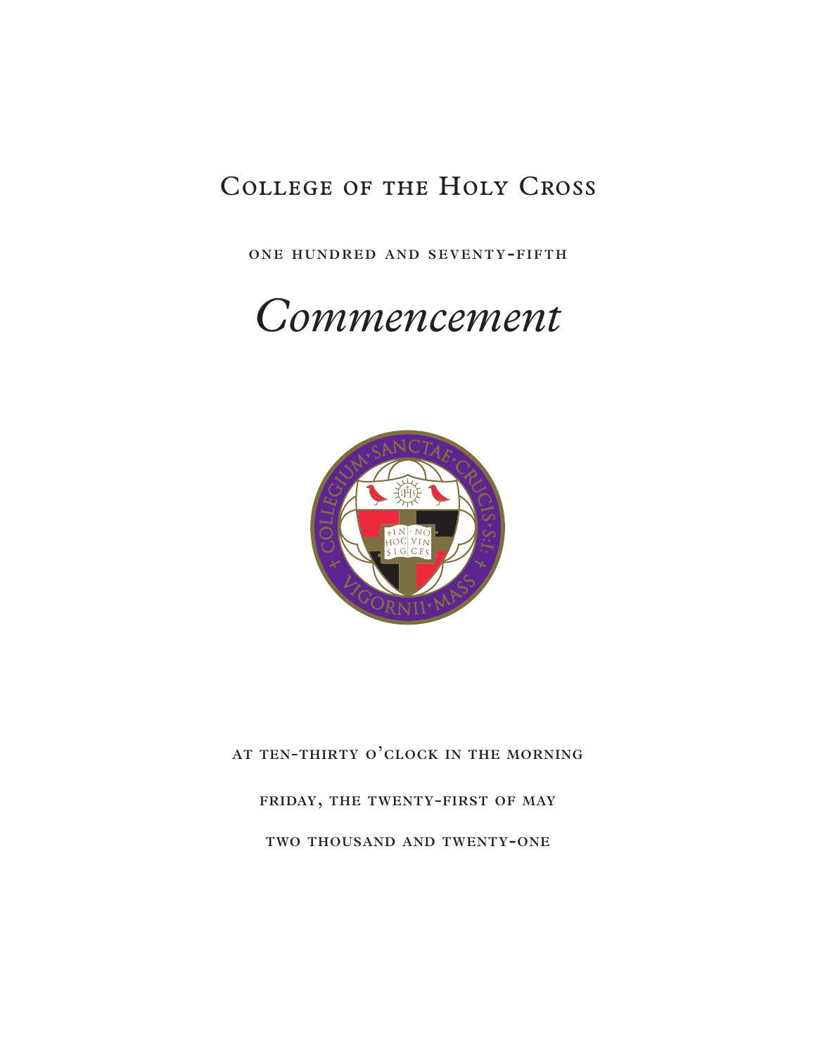## College of the Holy Cross

ONE HUNDRED AND SEVENTY-FIFTH

# *Commencement*



**at ten**-**thirty o'clock in the morning**

**friday, the twenty**-**first of may**

**two thousand and twenty-one**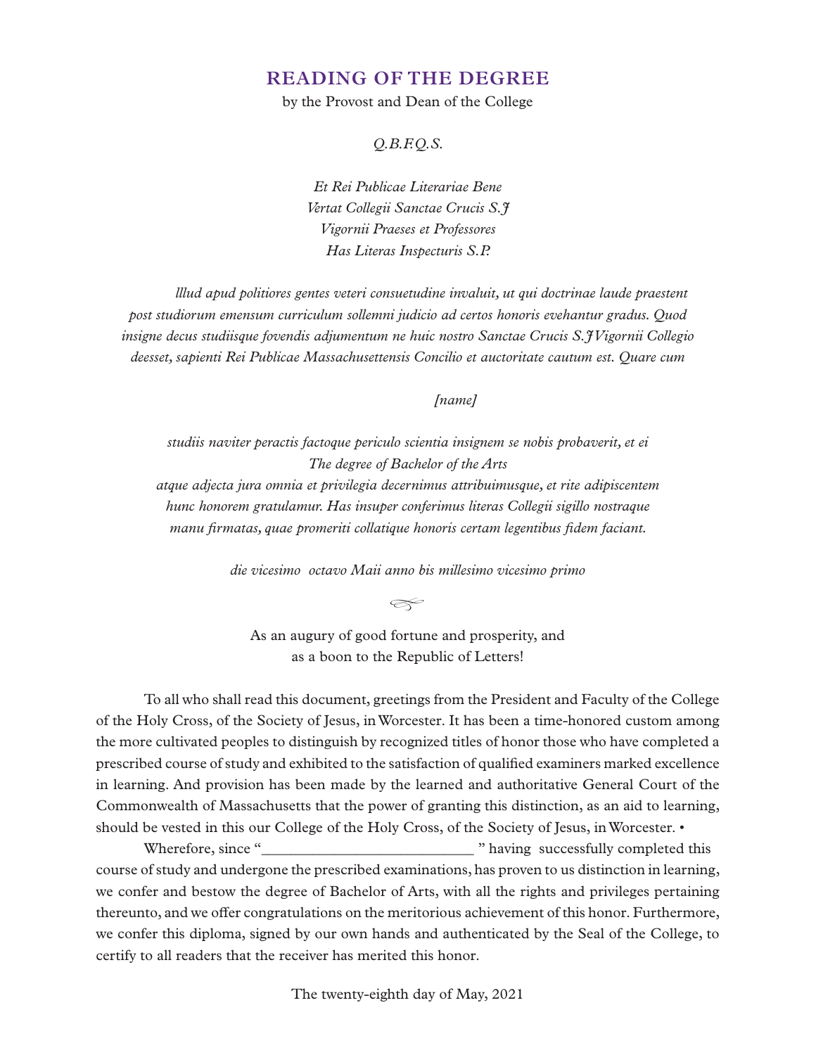## **READING OF THE DEGREE**

by the Provost and Dean of the College

*Q.B.F.Q.S.*

*Et Rei Publicae Literariae Bene Vertat Collegii Sanctae Crucis S.J Vigornii Praeses et Professores Has Literas Inspecturis S.P.*

*lllud apud politiores gentes veteri consuetudine invaluit, ut qui doctrinae laude praestent post studiorum emensum curriculum sollemni judicio ad certos honoris evehantur gradus. Quod insigne decus studiisque fovendis adjumentum ne huic nostro Sanctae Crucis S.J Vigornii Collegio deesset, sapienti Rei Publicae Massachusettensis Concilio et auctoritate cautum est. Quare cum*

#### *[name]*

*studiis naviter peractis factoque periculo scientia insignem se nobis probaverit, et ei The degree of Bachelor of the Arts atque adjecta jura omnia et privilegia decernimus attribuimusque, et rite adipiscentem hunc honorem gratulamur. Has insuper conferimus literas Collegii sigillo nostraque manu firmatas, quae promeriti collatique honoris certam legentibus fidem faciant.*

*die vicesimo octavo Maii anno bis millesimo vicesimo primo*

*�*

As an augury of good fortune and prosperity, and as a boon to the Republic of Letters!

To all who shall read this document, greetings from the President and Faculty of the College of the Holy Cross, of the Society of Jesus, in Worcester. It has been a time-honored custom among the more cultivated peoples to distinguish by recognized titles of honor those who have completed a prescribed course of study and exhibited to the satisfaction of qualified examiners marked excellence in learning. And provision has been made by the learned and authoritative General Court of the Commonwealth of Massachusetts that the power of granting this distinction, as an aid to learning, should be vested in this our College of the Holy Cross, of the Society of Jesus, in Worcester. •

Wherefore, since "\_\_\_\_\_\_\_\_\_\_\_\_\_\_\_\_\_\_\_\_\_\_\_\_\_\_\_\_\_ " having successfully completed this course of study and undergone the prescribed examinations, has proven to us distinction in learning, we confer and bestow the degree of Bachelor of Arts, with all the rights and privileges pertaining thereunto, and we offer congratulations on the meritorious achievement of this honor. Furthermore, we confer this diploma, signed by our own hands and authenticated by the Seal of the College, to certify to all readers that the receiver has merited this honor.

The twenty-eighth day of May, 2021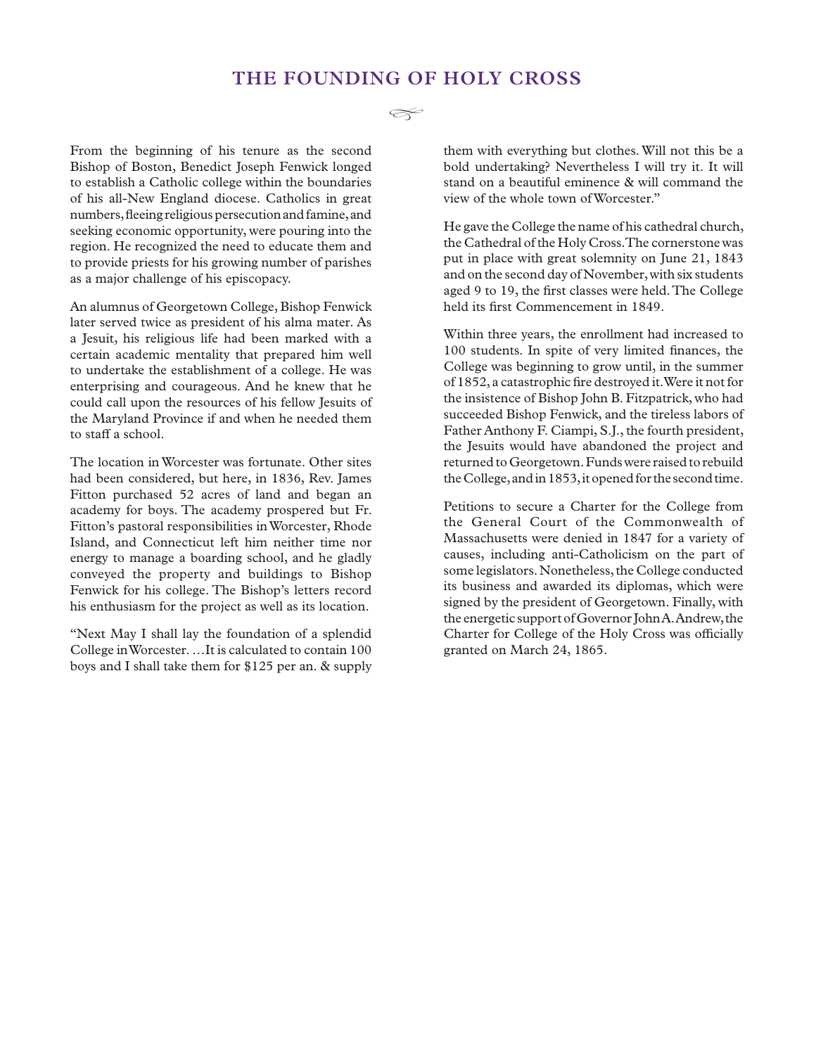## **THE FOUNDING OF HOLY CROSS**

 $\llap{\infty}$ 

From the beginning of his tenure as the second Bishop of Boston, Benedict Joseph Fenwick longed to establish a Catholic college within the boundaries of his all-New England diocese. Catholics in great numbers, fleeing religious persecution and famine, and seeking economic opportunity, were pouring into the region. He recognized the need to educate them and to provide priests for his growing number of parishes as a major challenge of his episcopacy.

An alumnus of Georgetown College, Bishop Fenwick later served twice as president of his alma mater. As a Jesuit, his religious life had been marked with a certain academic mentality that prepared him well to undertake the establishment of a college. He was enterprising and courageous. And he knew that he could call upon the resources of his fellow Jesuits of the Maryland Province if and when he needed them to staff a school.

The location in Worcester was fortunate. Other sites had been considered, but here, in 1836, Rev. James Fitton purchased 52 acres of land and began an academy for boys. The academy prospered but Fr. Fitton's pastoral responsibilities in Worcester, Rhode Island, and Connecticut left him neither time nor energy to manage a boarding school, and he gladly conveyed the property and buildings to Bishop Fenwick for his college. The Bishop's letters record his enthusiasm for the project as well as its location.

"Next May I shall lay the foundation of a splendid College in Worcester. …It is calculated to contain 100 boys and I shall take them for \$125 per an. & supply

them with everything but clothes. Will not this be a bold undertaking? Nevertheless I will try it. It will stand on a beautiful eminence & will command the view of the whole town of Worcester."

He gave the College the name of his cathedral church, the Cathedral of the Holy Cross. The cornerstone was put in place with great solemnity on June 21, 1843 and on the second day of November, with six students aged 9 to 19, the first classes were held. The College held its first Commencement in 1849.

Within three years, the enrollment had increased to 100 students. In spite of very limited finances, the College was beginning to grow until, in the summer of 1852, a catastrophic fire destroyed it. Were it not for the insistence of Bishop John B. Fitzpatrick, who had succeeded Bishop Fenwick, and the tireless labors of Father Anthony F. Ciampi, S.J., the fourth president, the Jesuits would have abandoned the project and returned to Georgetown. Funds were raised to rebuild the College, and in 1853, it opened for the second time.

Petitions to secure a Charter for the College from the General Court of the Commonwealth of Massachusetts were denied in 1847 for a variety of causes, including anti-Catholicism on the part of some legislators. Nonetheless, the College conducted its business and awarded its diplomas, which were signed by the president of Georgetown. Finally, with the energetic support of Governor John A. Andrew, the Charter for College of the Holy Cross was officially granted on March 24, 1865.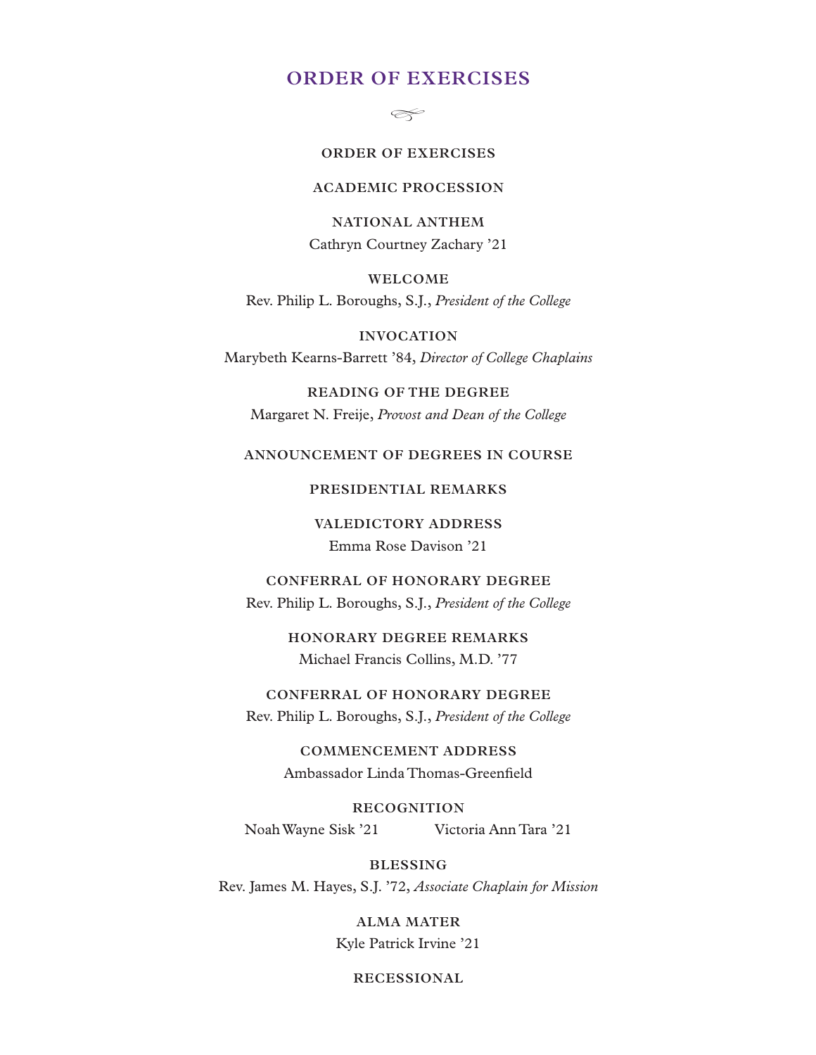## **ORDER OF EXERCISES**

*�*

#### **ORDER OF EXERCISES**

#### **ACADEMIC PROCESSION**

**NATIONAL ANTHEM** Cathryn Courtney Zachary '21

**WELCOME** Rev. Philip L. Boroughs, S.J., *President of the College*

**INVOCATION** Marybeth Kearns-Barrett '84, *Director of College Chaplains*

**READING OF THE DEGREE** Margaret N. Freije, *Provost and Dean of the College*

#### **ANNOUNCEMENT OF DEGREES IN COURSE**

#### **PRESIDENTIAL REMARKS**

**VALEDICTORY ADDRESS** Emma Rose Davison '21

**CONFERRAL OF HONORARY DEGREE** Rev. Philip L. Boroughs, S.J., *President of the College*

> **HONORARY DEGREE REMARKS** Michael Francis Collins, M.D. '77

**CONFERRAL OF HONORARY DEGREE** Rev. Philip L. Boroughs, S.J., *President of the College*

> **COMMENCEMENT ADDRESS** Ambassador Linda Thomas-Greenfield

**RECOGNITION** Noah Wayne Sisk '21 Victoria Ann Tara '21

**BLESSING** Rev. James M. Hayes, S.J. '72, *Associate Chaplain for Mission*

> **ALMA MATER** Kyle Patrick Irvine '21

> > **RECESSIONAL**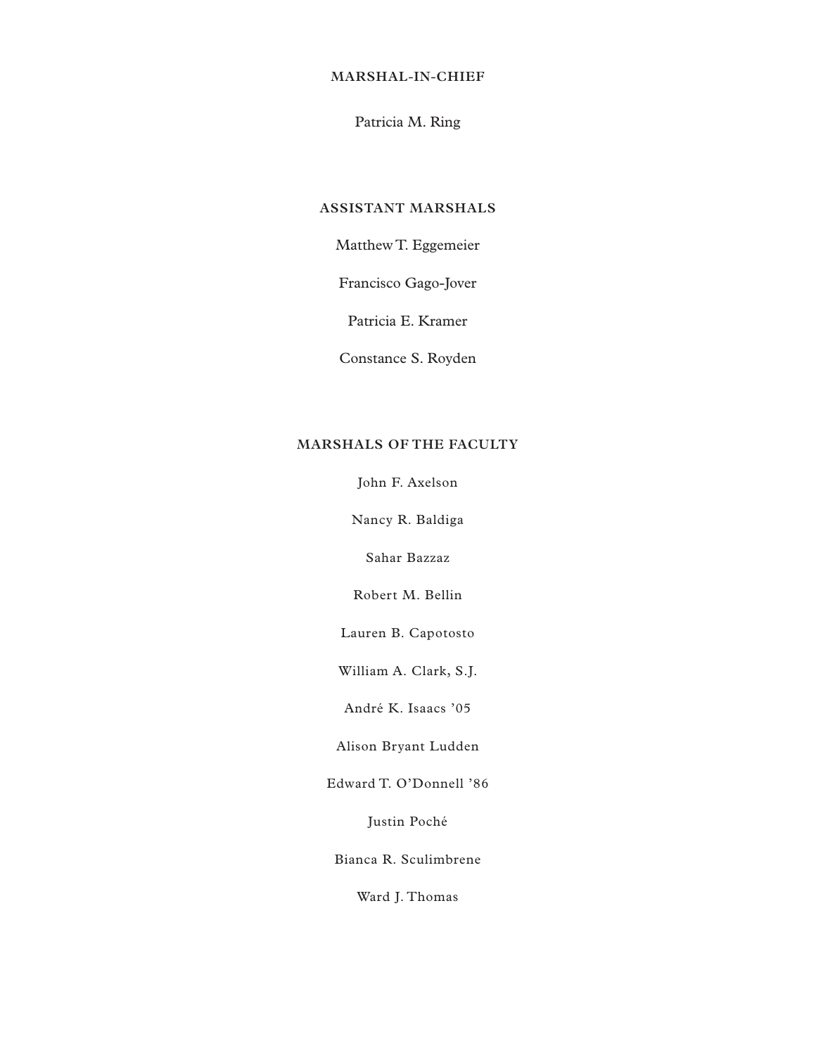#### **MARSHAL**-**IN**-**CHIEF**

### Patricia M. Ring

#### **ASSISTANT MARSHALS**

## Matthew T. Eggemeier

Francisco Gago-Jover

Patricia E. Kramer

Constance S. Royden

#### **MARSHALS OF THE FACULTY**

John F. Axelson

Nancy R. Baldiga

Sahar Bazzaz

Robert M. Bellin

Lauren B. Capotosto

William A. Clark, S.J.

André K. Isaacs '05

Alison Bryant Ludden

Edward T. O'Donnell '86

Justin Poché

Bianca R. Sculimbrene

Ward J. Thomas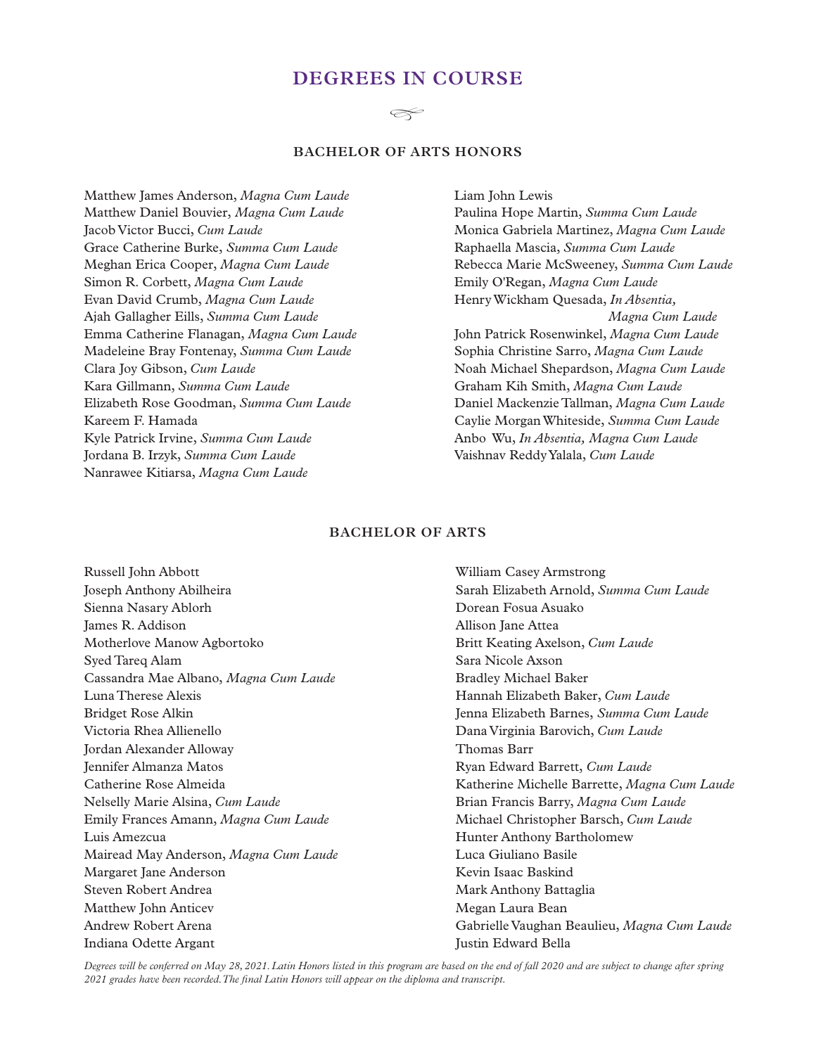## **DEGREES IN COURSE**

#### $\llap{\infty}$

#### **BACHELOR OF ARTS HONORS**

Matthew James Anderson, *Magna Cum Laude* Matthew Daniel Bouvier, *Magna Cum Laude* Jacob Victor Bucci, *Cum Laude* Grace Catherine Burke, *Summa Cum Laude* Meghan Erica Cooper, *Magna Cum Laude* Simon R. Corbett, *Magna Cum Laude* Evan David Crumb, *Magna Cum Laude* Ajah Gallagher Eills, *Summa Cum Laude* Emma Catherine Flanagan, *Magna Cum Laude* Madeleine Bray Fontenay, *Summa Cum Laude* Clara Joy Gibson, *Cum Laude* Kara Gillmann, *Summa Cum Laude* Elizabeth Rose Goodman, *Summa Cum Laude* Kareem F. Hamada Kyle Patrick Irvine, *Summa Cum Laude* Jordana B. Irzyk, *Summa Cum Laude* Nanrawee Kitiarsa, *Magna Cum Laude*

Liam John Lewis Paulina Hope Martin, *Summa Cum Laude* Monica Gabriela Martinez, *Magna Cum Laude* Raphaella Mascia, *Summa Cum Laude* Rebecca Marie McSweeney, *Summa Cum Laude* Emily O'Regan, *Magna Cum Laude* Henry Wickham Quesada, *In Absentia, Magna Cum Laude* John Patrick Rosenwinkel, *Magna Cum Laude* Sophia Christine Sarro, *Magna Cum Laude* Noah Michael Shepardson, *Magna Cum Laude* Graham Kih Smith, *Magna Cum Laude* Daniel Mackenzie Tallman, *Magna Cum Laude* Caylie Morgan Whiteside, *Summa Cum Laude* Anbo Wu, *In Absentia, Magna Cum Laude* Vaishnav Reddy Yalala, *Cum Laude*

#### **BACHELOR OF ARTS**

Russell John Abbott Joseph Anthony Abilheira Sienna Nasary Ablorh James R. Addison Motherlove Manow Agbortoko Syed Tareq Alam Cassandra Mae Albano, *Magna Cum Laude* Luna Therese Alexis Bridget Rose Alkin Victoria Rhea Allienello Jordan Alexander Alloway Jennifer Almanza Matos Catherine Rose Almeida Nelselly Marie Alsina, *Cum Laude* Emily Frances Amann, *Magna Cum Laude* Luis Amezcua Mairead May Anderson, *Magna Cum Laude* Margaret Jane Anderson Steven Robert Andrea Matthew John Anticev Andrew Robert Arena Indiana Odette Argant

William Casey Armstrong Sarah Elizabeth Arnold, *Summa Cum Laude* Dorean Fosua Asuako Allison Jane Attea Britt Keating Axelson, *Cum Laude* Sara Nicole Axson Bradley Michael Baker Hannah Elizabeth Baker, *Cum Laude* Jenna Elizabeth Barnes, *Summa Cum Laude* Dana Virginia Barovich, *Cum Laude* Thomas Barr Ryan Edward Barrett, *Cum Laude* Katherine Michelle Barrette, *Magna Cum Laude* Brian Francis Barry, *Magna Cum Laude* Michael Christopher Barsch, *Cum Laude* Hunter Anthony Bartholomew Luca Giuliano Basile Kevin Isaac Baskind Mark Anthony Battaglia Megan Laura Bean Gabrielle Vaughan Beaulieu, *Magna Cum Laude* Justin Edward Bella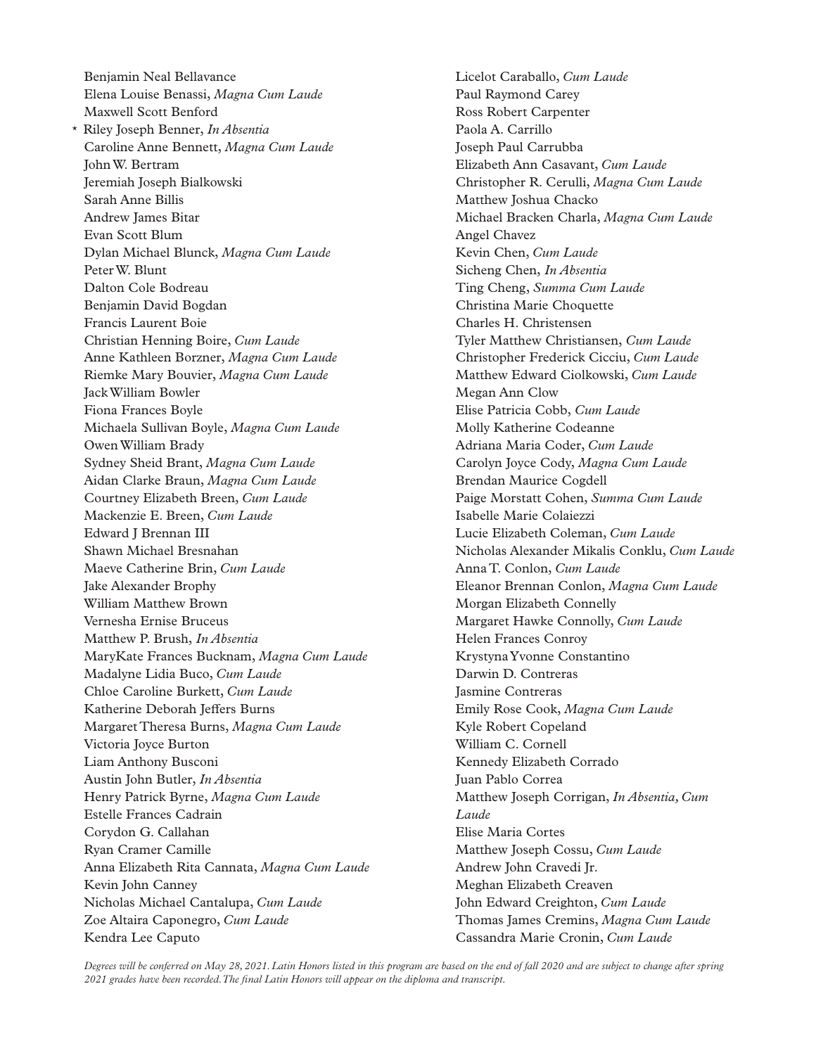Benjamin Neal Bellavance Elena Louise Benassi, *Magna Cum Laude* Maxwell Scott Benford \* Riley Joseph Benner, *In Absentia* Caroline Anne Bennett, *Magna Cum Laude* John W. Bertram Jeremiah Joseph Bialkowski Sarah Anne Billis Andrew James Bitar Evan Scott Blum Dylan Michael Blunck, *Magna Cum Laude* Peter W. Blunt Dalton Cole Bodreau Benjamin David Bogdan Francis Laurent Boie Christian Henning Boire, *Cum Laude* Anne Kathleen Borzner, *Magna Cum Laude* Riemke Mary Bouvier, *Magna Cum Laude* Jack William Bowler Fiona Frances Boyle Michaela Sullivan Boyle, *Magna Cum Laude* Owen William Brady Sydney Sheid Brant, *Magna Cum Laude* Aidan Clarke Braun, *Magna Cum Laude* Courtney Elizabeth Breen, *Cum Laude* Mackenzie E. Breen, *Cum Laude* Edward J Brennan III Shawn Michael Bresnahan Maeve Catherine Brin, *Cum Laude* Jake Alexander Brophy William Matthew Brown Vernesha Ernise Bruceus Matthew P. Brush, *In Absentia* MaryKate Frances Bucknam, *Magna Cum Laude* Madalyne Lidia Buco, *Cum Laude* Chloe Caroline Burkett, *Cum Laude* Katherine Deborah Jeffers Burns Margaret Theresa Burns, *Magna Cum Laude* Victoria Joyce Burton Liam Anthony Busconi Austin John Butler, *In Absentia* Henry Patrick Byrne, *Magna Cum Laude* Estelle Frances Cadrain Corydon G. Callahan Ryan Cramer Camille Anna Elizabeth Rita Cannata, *Magna Cum Laude* Kevin John Canney Nicholas Michael Cantalupa, *Cum Laude* Zoe Altaira Caponegro, *Cum Laude* Kendra Lee Caputo

Licelot Caraballo, *Cum Laude* Paul Raymond Carey Ross Robert Carpenter Paola A. Carrillo Joseph Paul Carrubba Elizabeth Ann Casavant, *Cum Laude* Christopher R. Cerulli, *Magna Cum Laude* Matthew Joshua Chacko Michael Bracken Charla, *Magna Cum Laude* Angel Chavez Kevin Chen, *Cum Laude* Sicheng Chen, *In Absentia* Ting Cheng, *Summa Cum Laude* Christina Marie Choquette Charles H. Christensen Tyler Matthew Christiansen, *Cum Laude* Christopher Frederick Cicciu, *Cum Laude* Matthew Edward Ciolkowski, *Cum Laude* Megan Ann Clow Elise Patricia Cobb, *Cum Laude* Molly Katherine Codeanne Adriana Maria Coder, *Cum Laude* Carolyn Joyce Cody, *Magna Cum Laude* Brendan Maurice Cogdell Paige Morstatt Cohen, *Summa Cum Laude* Isabelle Marie Colaiezzi Lucie Elizabeth Coleman, *Cum Laude* Nicholas Alexander Mikalis Conklu, *Cum Laude* Anna T. Conlon, *Cum Laude* Eleanor Brennan Conlon, *Magna Cum Laude* Morgan Elizabeth Connelly Margaret Hawke Connolly, *Cum Laude* Helen Frances Conroy Krystyna Yvonne Constantino Darwin D. Contreras Jasmine Contreras Emily Rose Cook, *Magna Cum Laude* Kyle Robert Copeland William C. Cornell Kennedy Elizabeth Corrado Juan Pablo Correa Matthew Joseph Corrigan, *In Absentia, Cum Laude* Elise Maria Cortes Matthew Joseph Cossu, *Cum Laude* Andrew John Cravedi Jr. Meghan Elizabeth Creaven John Edward Creighton, *Cum Laude* Thomas James Cremins, *Magna Cum Laude* Cassandra Marie Cronin, *Cum Laude*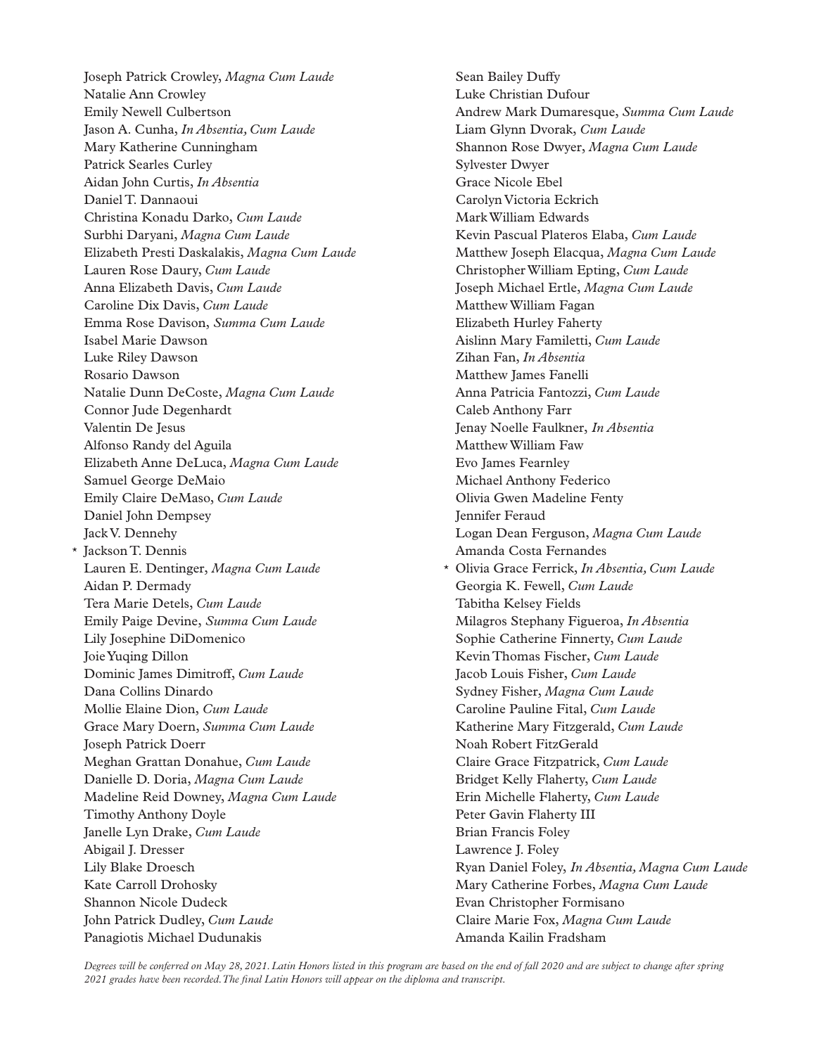Joseph Patrick Crowley, *Magna Cum Laude* Natalie Ann Crowley Emily Newell Culbertson Jason A. Cunha, *In Absentia, Cum Laude* Mary Katherine Cunningham Patrick Searles Curley Aidan John Curtis, *In Absentia* Daniel T. Dannaoui Christina Konadu Darko, *Cum Laude* Surbhi Daryani, *Magna Cum Laude* Elizabeth Presti Daskalakis, *Magna Cum Laude* Lauren Rose Daury, *Cum Laude* Anna Elizabeth Davis, *Cum Laude* Caroline Dix Davis, *Cum Laude* Emma Rose Davison, *Summa Cum Laude* Isabel Marie Dawson Luke Riley Dawson Rosario Dawson Natalie Dunn DeCoste, *Magna Cum Laude* Connor Jude Degenhardt Valentin De Jesus Alfonso Randy del Aguila Elizabeth Anne DeLuca, *Magna Cum Laude* Samuel George DeMaio Emily Claire DeMaso, *Cum Laude* Daniel John Dempsey Jack V. Dennehy \* Jackson T. Dennis Lauren E. Dentinger, *Magna Cum Laude* Aidan P. Dermady Tera Marie Detels, *Cum Laude* Emily Paige Devine, *Summa Cum Laude* Lily Josephine DiDomenico Joie Yuqing Dillon Dominic James Dimitroff, *Cum Laude* Dana Collins Dinardo Mollie Elaine Dion, *Cum Laude* Grace Mary Doern, *Summa Cum Laude* Joseph Patrick Doerr Meghan Grattan Donahue, *Cum Laude* Danielle D. Doria, *Magna Cum Laude* Madeline Reid Downey, *Magna Cum Laude* Timothy Anthony Doyle Janelle Lyn Drake, *Cum Laude* Abigail J. Dresser Lily Blake Droesch Kate Carroll Drohosky Shannon Nicole Dudeck John Patrick Dudley, *Cum Laude* Panagiotis Michael Dudunakis

Sean Bailey Duffy Luke Christian Dufour Andrew Mark Dumaresque, *Summa Cum Laude* Liam Glynn Dvorak, *Cum Laude* Shannon Rose Dwyer, *Magna Cum Laude* Sylvester Dwyer Grace Nicole Ebel Carolyn Victoria Eckrich Mark William Edwards Kevin Pascual Plateros Elaba, *Cum Laude* Matthew Joseph Elacqua, *Magna Cum Laude* Christopher William Epting, *Cum Laude* Joseph Michael Ertle, *Magna Cum Laude* Matthew William Fagan Elizabeth Hurley Faherty Aislinn Mary Familetti, *Cum Laude* Zihan Fan, *In Absentia* Matthew James Fanelli Anna Patricia Fantozzi, *Cum Laude* Caleb Anthony Farr Jenay Noelle Faulkner, *In Absentia* Matthew William Faw Evo James Fearnley Michael Anthony Federico Olivia Gwen Madeline Fenty Jennifer Feraud Logan Dean Ferguson, *Magna Cum Laude* Amanda Costa Fernandes \* Olivia Grace Ferrick, *In Absentia, Cum Laude* Georgia K. Fewell, *Cum Laude* Tabitha Kelsey Fields Milagros Stephany Figueroa, *In Absentia* Sophie Catherine Finnerty, *Cum Laude* Kevin Thomas Fischer, *Cum Laude* Jacob Louis Fisher, *Cum Laude* Sydney Fisher, *Magna Cum Laude* Caroline Pauline Fital, *Cum Laude* Katherine Mary Fitzgerald, *Cum Laude* Noah Robert FitzGerald Claire Grace Fitzpatrick, *Cum Laude* Bridget Kelly Flaherty, *Cum Laude* Erin Michelle Flaherty, *Cum Laude* Peter Gavin Flaherty III Brian Francis Foley Lawrence J. Foley Ryan Daniel Foley, *In Absentia, Magna Cum Laude* Mary Catherine Forbes, *Magna Cum Laude* Evan Christopher Formisano Claire Marie Fox, *Magna Cum Laude* Amanda Kailin Fradsham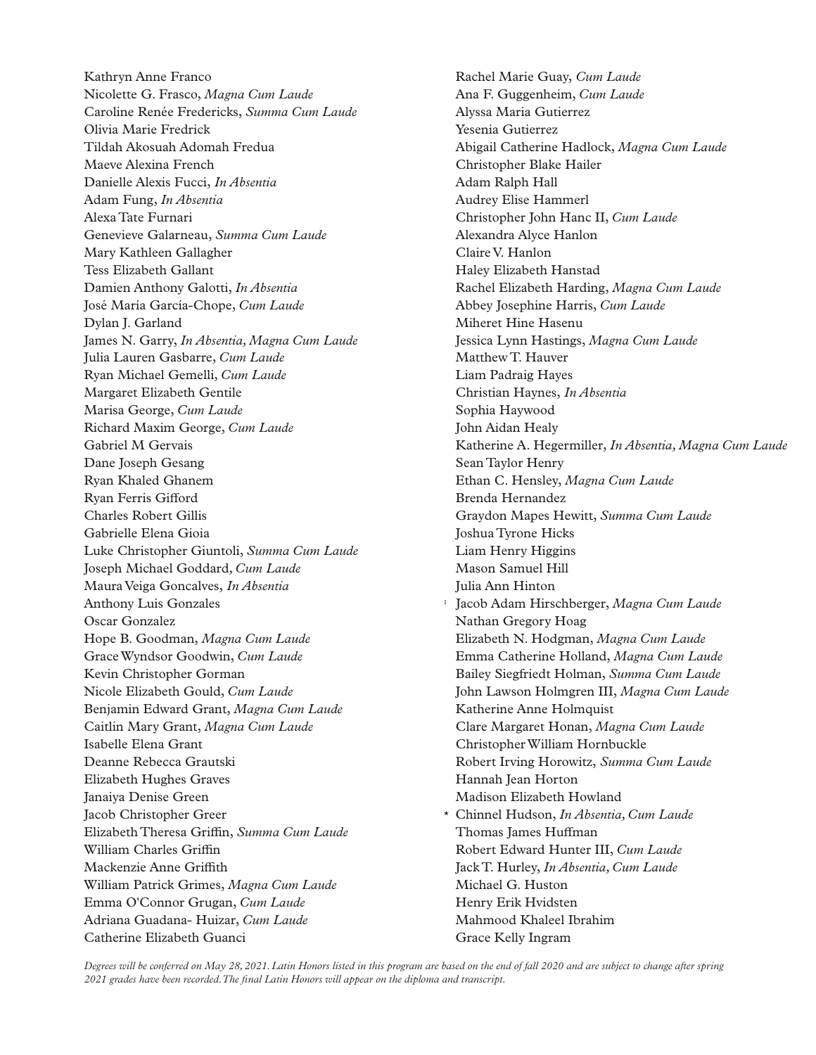Kathryn Anne Franco Nicolette G. Frasco, *Magna Cum Laude* Caroline Renée Fredericks, *Summa Cum Laude* Olivia Marie Fredrick Tildah Akosuah Adomah Fredua Maeve Alexina French Danielle Alexis Fucci, *In Absentia* Adam Fung, *In Absentia* Alexa Tate Furnari Genevieve Galarneau, *Summa Cum Laude* Mary Kathleen Gallagher Tess Elizabeth Gallant Damien Anthony Galotti, *In Absentia* José María García-Chope, *Cum Laude* Dylan J. Garland James N. Garry, *In Absentia, Magna Cum Laude* Julia Lauren Gasbarre, *Cum Laude* Ryan Michael Gemelli, *Cum Laude* Margaret Elizabeth Gentile Marisa George, *Cum Laude* Richard Maxim George, *Cum Laude* Gabriel M Gervais Dane Joseph Gesang Ryan Khaled Ghanem Ryan Ferris Gifford Charles Robert Gillis Gabrielle Elena Gioia Luke Christopher Giuntoli, *Summa Cum Laude* Joseph Michael Goddard*, Cum Laude* Maura Veiga Goncalves, *In Absentia* Anthony Luis Gonzales Oscar Gonzalez Hope B. Goodman, *Magna Cum Laude* Grace Wyndsor Goodwin, *Cum Laude* Kevin Christopher Gorman Nicole Elizabeth Gould, *Cum Laude* Benjamin Edward Grant, *Magna Cum Laude* Caitlin Mary Grant, *Magna Cum Laude* Isabelle Elena Grant Deanne Rebecca Grautski Elizabeth Hughes Graves Janaiya Denise Green Jacob Christopher Greer Elizabeth Theresa Griffin, *Summa Cum Laude* William Charles Griffin Mackenzie Anne Griffith William Patrick Grimes, *Magna Cum Laude* Emma O'Connor Grugan, *Cum Laude* Adriana Guadana- Huizar, *Cum Laude* Catherine Elizabeth Guanci

Rachel Marie Guay, *Cum Laude* Ana F. Guggenheim, *Cum Laude* Alyssa Maria Gutierrez Yesenia Gutierrez Abigail Catherine Hadlock, *Magna Cum Laude* Christopher Blake Hailer Adam Ralph Hall Audrey Elise Hammerl Christopher John Hanc II, *Cum Laude* Alexandra Alyce Hanlon Claire V. Hanlon Haley Elizabeth Hanstad Rachel Elizabeth Harding, *Magna Cum Laude* Abbey Josephine Harris, *Cum Laude* Miheret Hine Hasenu Jessica Lynn Hastings, *Magna Cum Laude* Matthew T. Hauver Liam Padraig Hayes Christian Haynes, *In Absentia* Sophia Haywood John Aidan Healy Katherine A. Hegermiller, *In Absentia, Magna Cum Laude* Sean Taylor Henry Ethan C. Hensley, *Magna Cum Laude* Brenda Hernandez Graydon Mapes Hewitt, *Summa Cum Laude* Joshua Tyrone Hicks Liam Henry Higgins Mason Samuel Hill Julia Ann Hinton Jacob Adam Hirschberger, *Magna Cum Laude* Nathan Gregory Hoag Elizabeth N. Hodgman, *Magna Cum Laude* Emma Catherine Holland, *Magna Cum Laude* Bailey Siegfriedt Holman, *Summa Cum Laude* John Lawson Holmgren III, *Magna Cum Laude* Katherine Anne Holmquist Clare Margaret Honan, *Magna Cum Laude* Christopher William Hornbuckle Robert Irving Horowitz, *Summa Cum Laude* Hannah Jean Horton Madison Elizabeth Howland \* Chinnel Hudson, *In Absentia, Cum Laude* Thomas James Huffman Robert Edward Hunter III, *Cum Laude* Jack T. Hurley, *In Absentia, Cum Laude* Michael G. Huston Henry Erik Hvidsten Mahmood Khaleel Ibrahim Grace Kelly Ingram

*Degrees will be conferred on May 28, 2021. Latin Honors listed in this program are based on the end of fall 2020 and are subject to change after spring 2021 grades have been recorded. The final Latin Honors will appear on the diploma and transcript.*

1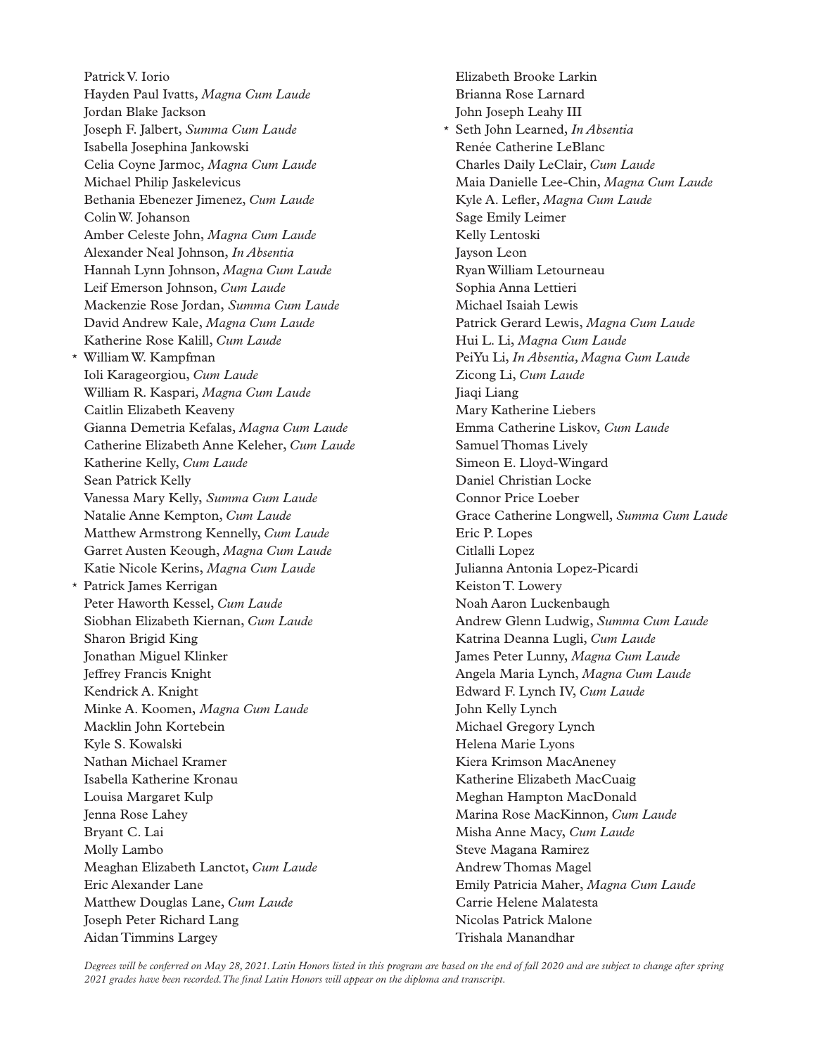Patrick V. Iorio Hayden Paul Ivatts, *Magna Cum Laude* Jordan Blake Jackson Joseph F. Jalbert, *Summa Cum Laude* Isabella Josephina Jankowski Celia Coyne Jarmoc, *Magna Cum Laude* Michael Philip Jaskelevicus Bethania Ebenezer Jimenez, *Cum Laude* Colin W. Johanson Amber Celeste John, *Magna Cum Laude* Alexander Neal Johnson, *In Absentia* Hannah Lynn Johnson, *Magna Cum Laude* Leif Emerson Johnson, *Cum Laude* Mackenzie Rose Jordan, *Summa Cum Laude* David Andrew Kale, *Magna Cum Laude* Katherine Rose Kalill, *Cum Laude* \* William W. Kampfman Ioli Karageorgiou, *Cum Laude* William R. Kaspari, *Magna Cum Laude* Caitlin Elizabeth Keaveny Gianna Demetria Kefalas, *Magna Cum Laude* Catherine Elizabeth Anne Keleher, *Cum Laude* Katherine Kelly, *Cum Laude* Sean Patrick Kelly Vanessa Mary Kelly, *Summa Cum Laude* Natalie Anne Kempton, *Cum Laude* Matthew Armstrong Kennelly, *Cum Laude* Garret Austen Keough, *Magna Cum Laude* Katie Nicole Kerins, *Magna Cum Laude* \* Patrick James Kerrigan Peter Haworth Kessel, *Cum Laude* Siobhan Elizabeth Kiernan, *Cum Laude* Sharon Brigid King Jonathan Miguel Klinker Jeffrey Francis Knight Kendrick A. Knight Minke A. Koomen, *Magna Cum Laude* Macklin John Kortebein Kyle S. Kowalski Nathan Michael Kramer Isabella Katherine Kronau Louisa Margaret Kulp Jenna Rose Lahey Bryant C. Lai Molly Lambo Meaghan Elizabeth Lanctot, *Cum Laude* Eric Alexander Lane Matthew Douglas Lane, *Cum Laude* Joseph Peter Richard Lang Aidan Timmins Largey

Elizabeth Brooke Larkin Brianna Rose Larnard John Joseph Leahy III \* Seth John Learned, *In Absentia* Renée Catherine LeBlanc Charles Daily LeClair, *Cum Laude* Maia Danielle Lee-Chin, *Magna Cum Laude* Kyle A. Lefler, *Magna Cum Laude* Sage Emily Leimer Kelly Lentoski Jayson Leon Ryan William Letourneau Sophia Anna Lettieri Michael Isaiah Lewis Patrick Gerard Lewis, *Magna Cum Laude* Hui L. Li, *Magna Cum Laude* PeiYu Li, *In Absentia, Magna Cum Laude* Zicong Li, *Cum Laude* Jiaqi Liang Mary Katherine Liebers Emma Catherine Liskov, *Cum Laude* Samuel Thomas Lively Simeon E. Lloyd-Wingard Daniel Christian Locke Connor Price Loeber Grace Catherine Longwell, *Summa Cum Laude* Eric P. Lopes Citlalli Lopez Julianna Antonia Lopez-Picardi Keiston T. Lowery Noah Aaron Luckenbaugh Andrew Glenn Ludwig, *Summa Cum Laude* Katrina Deanna Lugli, *Cum Laude* James Peter Lunny, *Magna Cum Laude* Angela Maria Lynch, *Magna Cum Laude* Edward F. Lynch IV, *Cum Laude* John Kelly Lynch Michael Gregory Lynch Helena Marie Lyons Kiera Krimson MacAneney Katherine Elizabeth MacCuaig Meghan Hampton MacDonald Marina Rose MacKinnon, *Cum Laude* Misha Anne Macy, *Cum Laude* Steve Magana Ramirez Andrew Thomas Magel Emily Patricia Maher, *Magna Cum Laude* Carrie Helene Malatesta Nicolas Patrick Malone Trishala Manandhar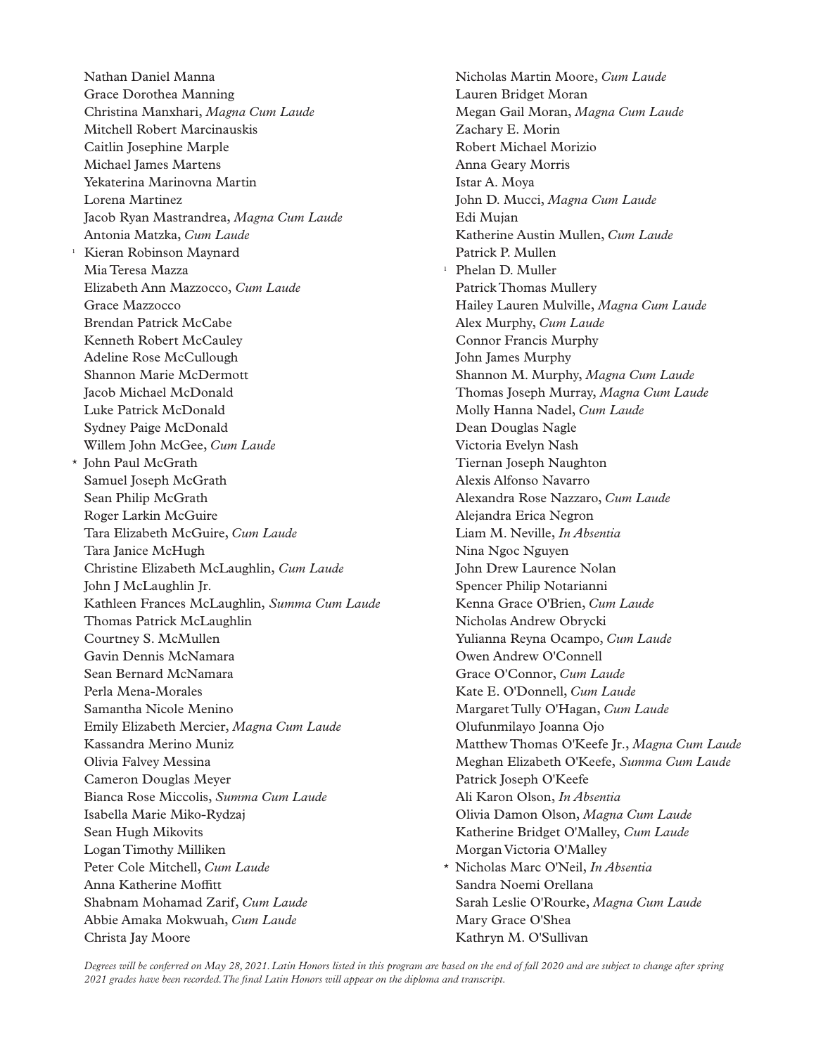Nathan Daniel Manna Grace Dorothea Manning Christina Manxhari, *Magna Cum Laude* Mitchell Robert Marcinauskis Caitlin Josephine Marple Michael James Martens Yekaterina Marinovna Martin Lorena Martinez Jacob Ryan Mastrandrea, *Magna Cum Laude* Antonia Matzka, *Cum Laude* 1 Kieran Robinson Maynard Mia Teresa Mazza Elizabeth Ann Mazzocco, *Cum Laude* Grace Mazzocco Brendan Patrick McCabe Kenneth Robert McCauley Adeline Rose McCullough Shannon Marie McDermott Jacob Michael McDonald Luke Patrick McDonald Sydney Paige McDonald Willem John McGee, *Cum Laude* \* John Paul McGrath Samuel Joseph McGrath Sean Philip McGrath Roger Larkin McGuire Tara Elizabeth McGuire, *Cum Laude* Tara Janice McHugh Christine Elizabeth McLaughlin, *Cum Laude* John J McLaughlin Jr. Kathleen Frances McLaughlin, *Summa Cum Laude* Thomas Patrick McLaughlin Courtney S. McMullen Gavin Dennis McNamara Sean Bernard McNamara Perla Mena-Morales Samantha Nicole Menino Emily Elizabeth Mercier, *Magna Cum Laude* Kassandra Merino Muniz Olivia Falvey Messina Cameron Douglas Meyer Bianca Rose Miccolis, *Summa Cum Laude* Isabella Marie Miko-Rydzaj Sean Hugh Mikovits Logan Timothy Milliken Peter Cole Mitchell, *Cum Laude* Anna Katherine Moffitt Shabnam Mohamad Zarif, *Cum Laude* Abbie Amaka Mokwuah, *Cum Laude* Christa Jay Moore

Nicholas Martin Moore, *Cum Laude* Lauren Bridget Moran Megan Gail Moran, *Magna Cum Laude* Zachary E. Morin Robert Michael Morizio Anna Geary Morris Istar A. Moya John D. Mucci, *Magna Cum Laude* Edi Mujan Katherine Austin Mullen, *Cum Laude* Patrick P. Mullen <sup>1</sup> Phelan D. Muller Patrick Thomas Mullery Hailey Lauren Mulville, *Magna Cum Laude* Alex Murphy, *Cum Laude* Connor Francis Murphy John James Murphy Shannon M. Murphy, *Magna Cum Laude* Thomas Joseph Murray, *Magna Cum Laude* Molly Hanna Nadel, *Cum Laude* Dean Douglas Nagle Victoria Evelyn Nash Tiernan Joseph Naughton Alexis Alfonso Navarro Alexandra Rose Nazzaro, *Cum Laude* Alejandra Erica Negron Liam M. Neville, *In Absentia* Nina Ngoc Nguyen John Drew Laurence Nolan Spencer Philip Notarianni Kenna Grace O'Brien, *Cum Laude* Nicholas Andrew Obrycki Yulianna Reyna Ocampo, *Cum Laude* Owen Andrew O'Connell Grace O'Connor, *Cum Laude* Kate E. O'Donnell, *Cum Laude* Margaret Tully O'Hagan, *Cum Laude* Olufunmilayo Joanna Ojo Matthew Thomas O'Keefe Jr., *Magna Cum Laude* Meghan Elizabeth O'Keefe, *Summa Cum Laude* Patrick Joseph O'Keefe Ali Karon Olson, *In Absentia* Olivia Damon Olson, *Magna Cum Laude* Katherine Bridget O'Malley, *Cum Laude* Morgan Victoria O'Malley \* Nicholas Marc O'Neil, *In Absentia* Sandra Noemi Orellana Sarah Leslie O'Rourke, *Magna Cum Laude* Mary Grace O'Shea Kathryn M. O'Sullivan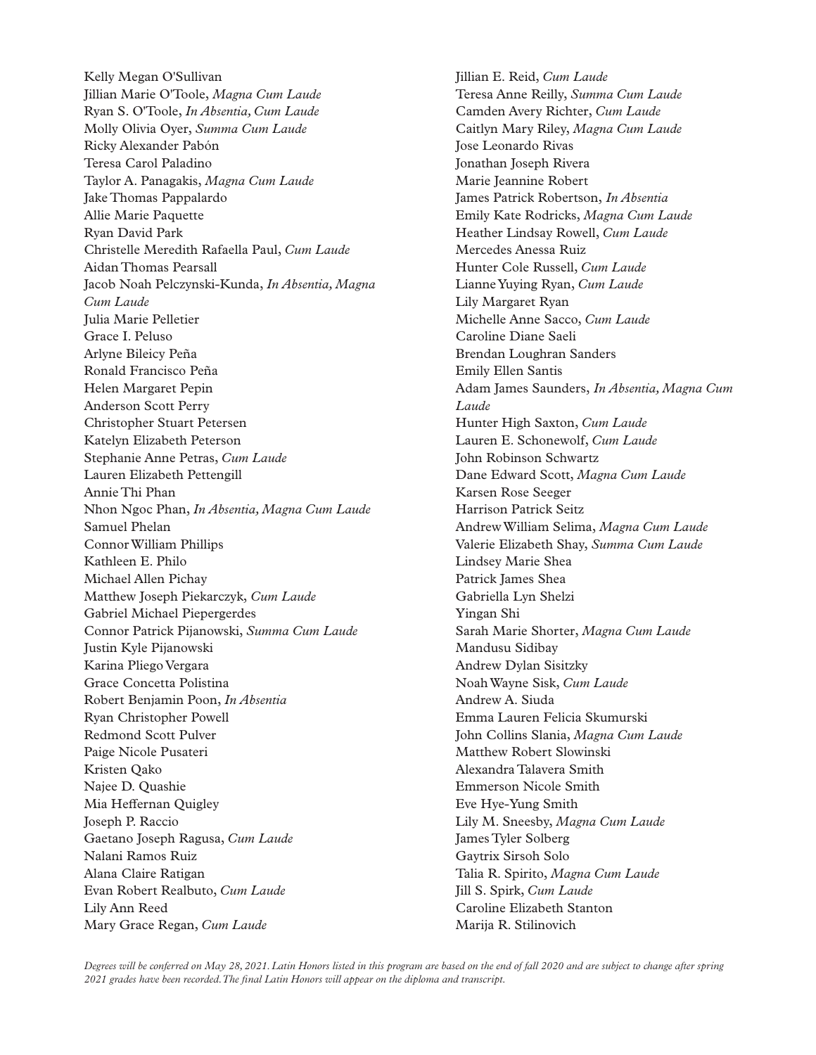Kelly Megan O'Sullivan Jillian Marie O'Toole, *Magna Cum Laude* Ryan S. O'Toole, *In Absentia, Cum Laude* Molly Olivia Oyer, *Summa Cum Laude* Ricky Alexander Pabón Teresa Carol Paladino Taylor A. Panagakis, *Magna Cum Laude* Jake Thomas Pappalardo Allie Marie Paquette Ryan David Park Christelle Meredith Rafaella Paul, *Cum Laude* Aidan Thomas Pearsall Jacob Noah Pelczynski-Kunda, *In Absentia, Magna Cum Laude* Julia Marie Pelletier Grace I. Peluso Arlyne Bileicy Peña Ronald Francisco Peña Helen Margaret Pepin Anderson Scott Perry Christopher Stuart Petersen Katelyn Elizabeth Peterson Stephanie Anne Petras, *Cum Laude* Lauren Elizabeth Pettengill Annie Thi Phan Nhon Ngoc Phan, *In Absentia, Magna Cum Laude* Samuel Phelan Connor William Phillips Kathleen E. Philo Michael Allen Pichay Matthew Joseph Piekarczyk, *Cum Laude* Gabriel Michael Piepergerdes Connor Patrick Pijanowski, *Summa Cum Laude* Justin Kyle Pijanowski Karina Pliego Vergara Grace Concetta Polistina Robert Benjamin Poon, *In Absentia* Ryan Christopher Powell Redmond Scott Pulver Paige Nicole Pusateri Kristen Qako Najee D. Quashie Mia Heffernan Quigley Joseph P. Raccio Gaetano Joseph Ragusa, *Cum Laude* Nalani Ramos Ruiz Alana Claire Ratigan Evan Robert Realbuto, *Cum Laude* Lily Ann Reed Mary Grace Regan, *Cum Laude*

Jillian E. Reid, *Cum Laude* Teresa Anne Reilly, *Summa Cum Laude* Camden Avery Richter, *Cum Laude* Caitlyn Mary Riley, *Magna Cum Laude* Jose Leonardo Rivas Jonathan Joseph Rivera Marie Jeannine Robert James Patrick Robertson, *In Absentia* Emily Kate Rodricks, *Magna Cum Laude* Heather Lindsay Rowell, *Cum Laude* Mercedes Anessa Ruiz Hunter Cole Russell, *Cum Laude* Lianne Yuying Ryan, *Cum Laude* Lily Margaret Ryan Michelle Anne Sacco, *Cum Laude* Caroline Diane Saeli Brendan Loughran Sanders Emily Ellen Santis Adam James Saunders, *In Absentia, Magna Cum Laude* Hunter High Saxton, *Cum Laude* Lauren E. Schonewolf, *Cum Laude* John Robinson Schwartz Dane Edward Scott, *Magna Cum Laude* Karsen Rose Seeger Harrison Patrick Seitz Andrew William Selima, *Magna Cum Laude* Valerie Elizabeth Shay, *Summa Cum Laude* Lindsey Marie Shea Patrick James Shea Gabriella Lyn Shelzi Yingan Shi Sarah Marie Shorter, *Magna Cum Laude* Mandusu Sidibay Andrew Dylan Sisitzky Noah Wayne Sisk, *Cum Laude* Andrew A. Siuda Emma Lauren Felicia Skumurski John Collins Slania, *Magna Cum Laude* Matthew Robert Slowinski Alexandra Talavera Smith Emmerson Nicole Smith Eve Hye-Yung Smith Lily M. Sneesby, *Magna Cum Laude* James Tyler Solberg Gaytrix Sirsoh Solo Talia R. Spirito, *Magna Cum Laude* Jill S. Spirk, *Cum Laude* Caroline Elizabeth Stanton Marija R. Stilinovich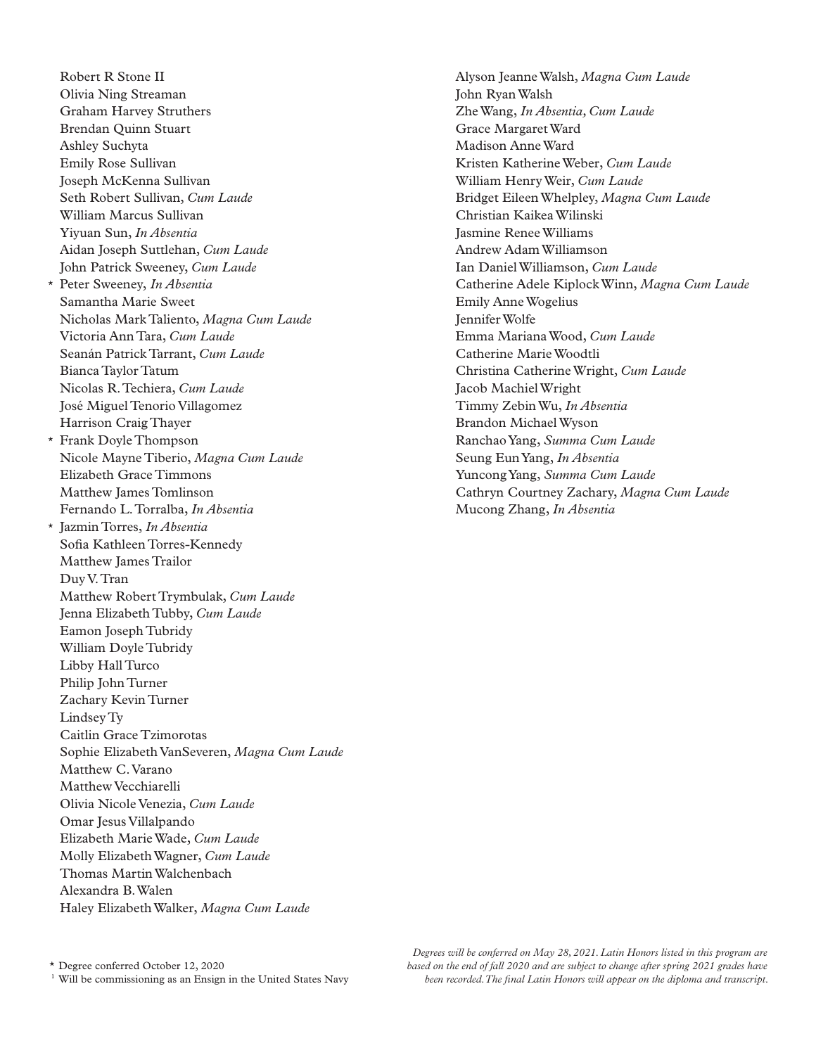Robert R Stone II Olivia Ning Streaman Graham Harvey Struthers Brendan Quinn Stuart Ashley Suchyta Emily Rose Sullivan Joseph McKenna Sullivan Seth Robert Sullivan, *Cum Laude* William Marcus Sullivan Yiyuan Sun, *In Absentia* Aidan Joseph Suttlehan, *Cum Laude* John Patrick Sweeney, *Cum Laude* \* Peter Sweeney, *In Absentia* Samantha Marie Sweet Nicholas Mark Taliento, *Magna Cum Laude* Victoria Ann Tara, *Cum Laude* Seanán Patrick Tarrant, *Cum Laude* Bianca Taylor Tatum Nicolas R. Techiera, *Cum Laude* José Miguel Tenorio Villagomez Harrison Craig Thayer \* Frank Doyle Thompson Nicole Mayne Tiberio, *Magna Cum Laude* Elizabeth Grace Timmons Matthew James Tomlinson Fernando L. Torralba, *In Absentia* \* Jazmin Torres, *In Absentia* Sofia Kathleen Torres-Kennedy Matthew James Trailor Duy V. Tran Matthew Robert Trymbulak, *Cum Laude* Jenna Elizabeth Tubby, *Cum Laude* Eamon Joseph Tubridy William Doyle Tubridy Libby Hall Turco Philip John Turner Zachary Kevin Turner Lindsey Ty Caitlin Grace Tzimorotas Sophie Elizabeth VanSeveren, *Magna Cum Laude* Matthew C. Varano Matthew Vecchiarelli Olivia Nicole Venezia, *Cum Laude* Omar Jesus Villalpando Elizabeth Marie Wade, *Cum Laude* Molly Elizabeth Wagner, *Cum Laude* Thomas Martin Walchenbach Alexandra B. Walen Haley Elizabeth Walker, *Magna Cum Laude*

Alyson Jeanne Walsh, *Magna Cum Laude* John Ryan Walsh Zhe Wang, *In Absentia, Cum Laude* Grace Margaret Ward Madison Anne Ward Kristen Katherine Weber, *Cum Laude* William Henry Weir, *Cum Laude* Bridget Eileen Whelpley, *Magna Cum Laude* Christian Kaikea Wilinski Jasmine Renee Williams Andrew Adam Williamson Ian Daniel Williamson, *Cum Laude* Catherine Adele Kiplock Winn, *Magna Cum Laude* Emily Anne Wogelius Jennifer Wolfe Emma Mariana Wood, *Cum Laude* Catherine Marie Woodtli Christina Catherine Wright, *Cum Laude* Jacob Machiel Wright Timmy Zebin Wu, *In Absentia* Brandon Michael Wyson Ranchao Yang, *Summa Cum Laude* Seung Eun Yang, *In Absentia* Yuncong Yang, *Summa Cum Laude* Cathryn Courtney Zachary, *Magna Cum Laude* Mucong Zhang, *In Absentia*

\* Degree conferred October 12, 2020 <sup>1</sup> Will be commissioning as an Ensign in the United States Navy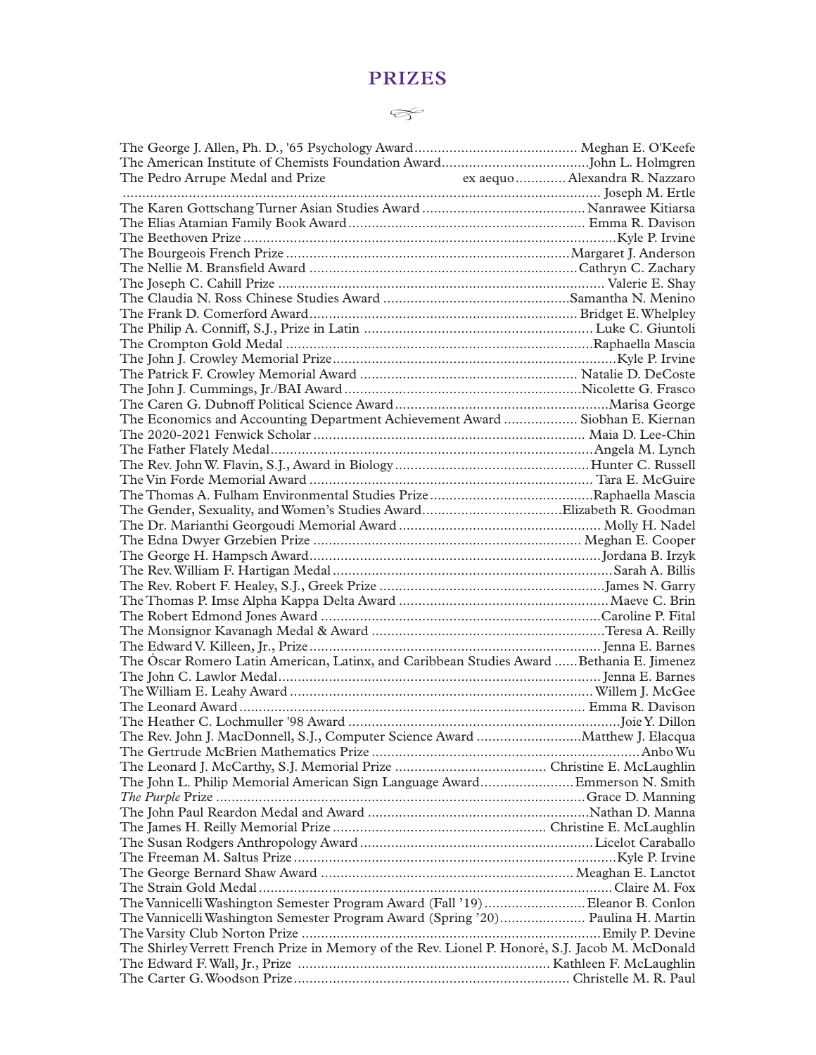## **PRIZES**

## *�*

| The Pedro Arrupe Medal and Prize                                                                |  |
|-------------------------------------------------------------------------------------------------|--|
|                                                                                                 |  |
|                                                                                                 |  |
|                                                                                                 |  |
|                                                                                                 |  |
|                                                                                                 |  |
|                                                                                                 |  |
|                                                                                                 |  |
|                                                                                                 |  |
|                                                                                                 |  |
|                                                                                                 |  |
|                                                                                                 |  |
|                                                                                                 |  |
|                                                                                                 |  |
|                                                                                                 |  |
|                                                                                                 |  |
| The Economics and Accounting Department Achievement Award  Siobhan E. Kiernan                   |  |
|                                                                                                 |  |
|                                                                                                 |  |
|                                                                                                 |  |
|                                                                                                 |  |
|                                                                                                 |  |
|                                                                                                 |  |
|                                                                                                 |  |
|                                                                                                 |  |
|                                                                                                 |  |
|                                                                                                 |  |
|                                                                                                 |  |
|                                                                                                 |  |
|                                                                                                 |  |
|                                                                                                 |  |
|                                                                                                 |  |
|                                                                                                 |  |
| The Óscar Romero Latin American, Latinx, and Caribbean Studies Award  Bethania E. Jimenez       |  |
|                                                                                                 |  |
|                                                                                                 |  |
|                                                                                                 |  |
|                                                                                                 |  |
| The Rev. John J. MacDonnell, S.J., Computer Science Award Matthew J. Elacqua                    |  |
|                                                                                                 |  |
|                                                                                                 |  |
| The John L. Philip Memorial American Sign Language Award Emmerson N. Smith                      |  |
|                                                                                                 |  |
|                                                                                                 |  |
|                                                                                                 |  |
|                                                                                                 |  |
|                                                                                                 |  |
|                                                                                                 |  |
|                                                                                                 |  |
|                                                                                                 |  |
| The Vannicelli Washington Semester Program Award (Fall '19)Eleanor B. Conlon                    |  |
| The Vannicelli Washington Semester Program Award (Spring '20) Paulina H. Martin                 |  |
|                                                                                                 |  |
| The Shirley Verrett French Prize in Memory of the Rev. Lionel P. Honoré, S.J. Jacob M. McDonald |  |
|                                                                                                 |  |
|                                                                                                 |  |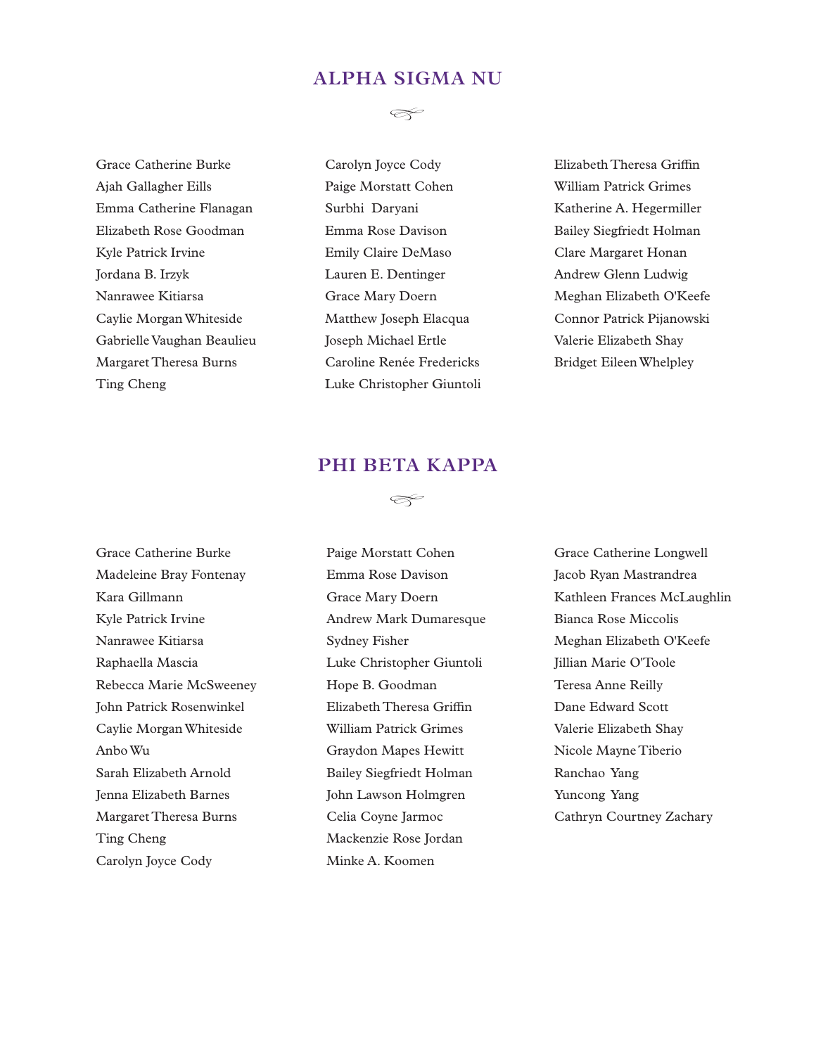## **ALPHA SIGMA NU**

Grace Catherine Burke Ajah Gallagher Eills Emma Catherine Flanagan Elizabeth Rose Goodman Kyle Patrick Irvine Jordana B. Irzyk Nanrawee Kitiarsa Caylie Morgan Whiteside Gabrielle Vaughan Beaulieu Margaret Theresa Burns Ting Cheng



Carolyn Joyce Cody Paige Morstatt Cohen Surbhi Daryani Emma Rose Davison Emily Claire DeMaso Lauren E. Dentinger Grace Mary Doern Matthew Joseph Elacqua Joseph Michael Ertle Caroline Renée Fredericks Luke Christopher Giuntoli Elizabeth Theresa Griffin William Patrick Grimes Katherine A. Hegermiller Bailey Siegfriedt Holman Clare Margaret Honan Andrew Glenn Ludwig Meghan Elizabeth O'Keefe Connor Patrick Pijanowski Valerie Elizabeth Shay Bridget Eileen Whelpley

## **PHI BETA KAPPA**

*�*



Paige Morstatt Cohen Emma Rose Davison Grace Mary Doern Andrew Mark Dumaresque Sydney Fisher Luke Christopher Giuntoli Hope B. Goodman Elizabeth Theresa Griffin William Patrick Grimes Graydon Mapes Hewitt Bailey Siegfriedt Holman John Lawson Holmgren Celia Coyne Jarmoc Mackenzie Rose Jordan Minke A. Koomen

Grace Catherine Longwell Jacob Ryan Mastrandrea Kathleen Frances McLaughlin Bianca Rose Miccolis Meghan Elizabeth O'Keefe Jillian Marie O'Toole Teresa Anne Reilly Dane Edward Scott Valerie Elizabeth Shay Nicole Mayne Tiberio Ranchao Yang Yuncong Yang Cathryn Courtney Zachary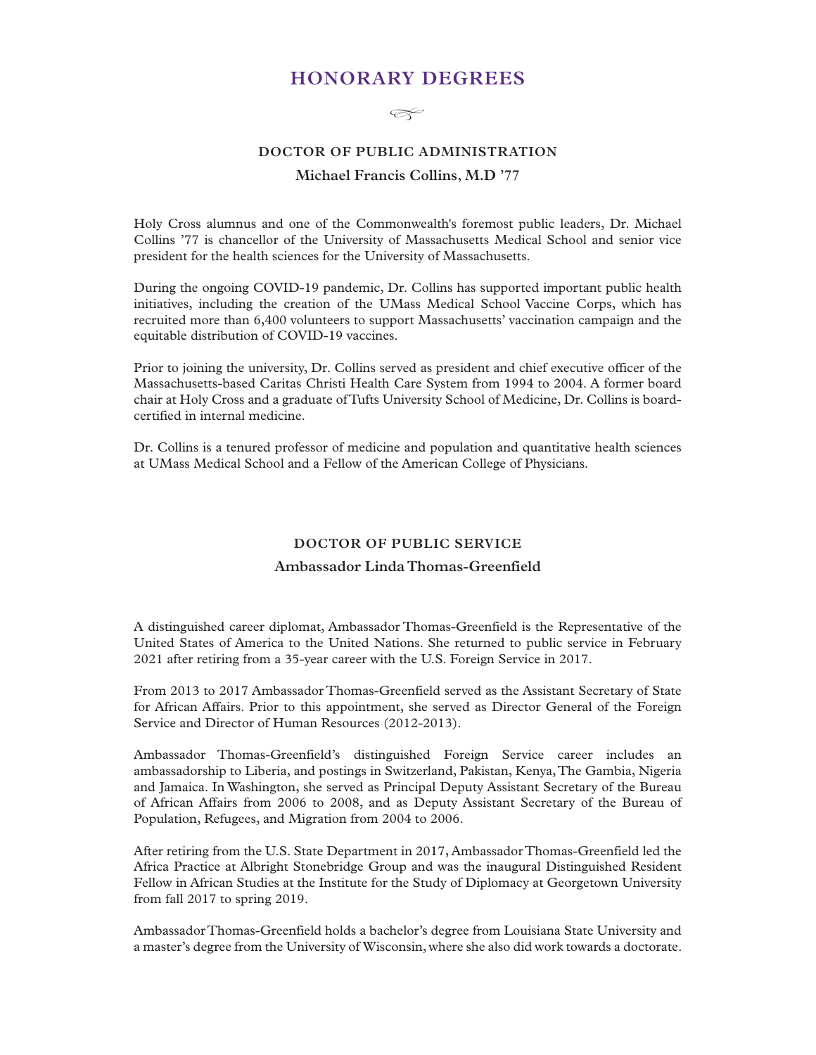## **HONORARY DEGREES**

 $\llap{\infty}$ 

## **DOCTOR OF PUBLIC ADMINISTRATION Michael Francis Collins, M.D '77**

Holy Cross alumnus and one of the Commonwealth's foremost public leaders, Dr. Michael Collins '77 is chancellor of the University of Massachusetts Medical School and senior vice president for the health sciences for the University of Massachusetts.

During the ongoing COVID-19 pandemic, Dr. Collins has supported important public health initiatives, including the creation of the UMass Medical School Vaccine Corps, which has recruited more than 6,400 volunteers to support Massachusetts' vaccination campaign and the equitable distribution of COVID-19 vaccines.

Prior to joining the university, Dr. Collins served as president and chief executive officer of the Massachusetts-based Caritas Christi Health Care System from 1994 to 2004. A former board chair at Holy Cross and a graduate of Tufts University School of Medicine, Dr. Collins is boardcertified in internal medicine.

Dr. Collins is a tenured professor of medicine and population and quantitative health sciences at UMass Medical School and a Fellow of the American College of Physicians.

#### **DOCTOR OF PUBLIC SERVICE**

#### **Ambassador Linda Thomas-Greenfield**

A distinguished career diplomat, Ambassador Thomas-Greenfield is the Representative of the United States of America to the United Nations. She returned to public service in February 2021 after retiring from a 35-year career with the U.S. Foreign Service in 2017.

From 2013 to 2017 Ambassador Thomas-Greenfield served as the Assistant Secretary of State for African Affairs. Prior to this appointment, she served as Director General of the Foreign Service and Director of Human Resources (2012-2013).

Ambassador Thomas-Greenfield's distinguished Foreign Service career includes an ambassadorship to Liberia, and postings in Switzerland, Pakistan, Kenya, The Gambia, Nigeria and Jamaica. In Washington, she served as Principal Deputy Assistant Secretary of the Bureau of African Affairs from 2006 to 2008, and as Deputy Assistant Secretary of the Bureau of Population, Refugees, and Migration from 2004 to 2006.

After retiring from the U.S. State Department in 2017, Ambassador Thomas-Greenfield led the Africa Practice at Albright Stonebridge Group and was the inaugural Distinguished Resident Fellow in African Studies at the Institute for the Study of Diplomacy at Georgetown University from fall 2017 to spring 2019.

Ambassador Thomas-Greenfield holds a bachelor's degree from Louisiana State University and a master's degree from the University of Wisconsin, where she also did work towards a doctorate.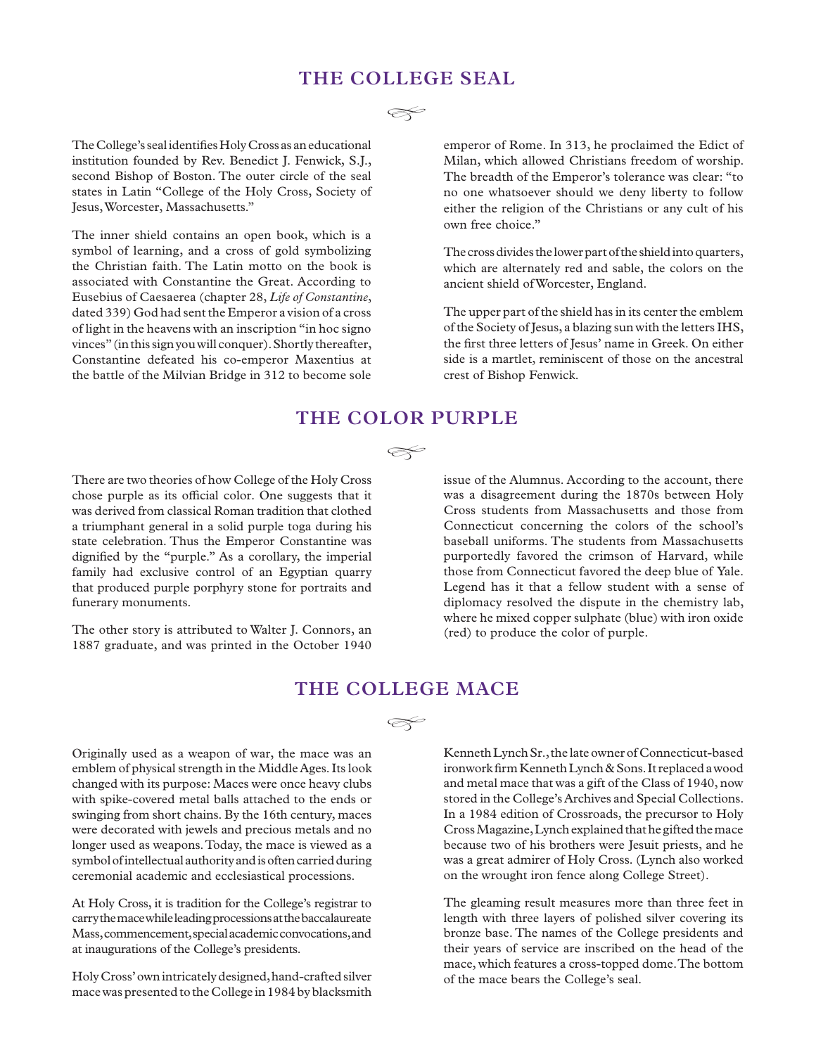## **THE COLLEGE SEAL**

The College's seal identifies Holy Cross as an educational institution founded by Rev. Benedict J. Fenwick, S.J., second Bishop of Boston. The outer circle of the seal states in Latin "College of the Holy Cross, Society of Jesus, Worcester, Massachusetts."

The inner shield contains an open book, which is a symbol of learning, and a cross of gold symbolizing the Christian faith. The Latin motto on the book is associated with Constantine the Great. According to Eusebius of Caesaerea (chapter 28, *Life of Constantine*, dated 339) God had sent the Emperor a vision of a cross of light in the heavens with an inscription "in hoc signo vinces" (in this sign you will conquer). Shortly thereafter, Constantine defeated his co-emperor Maxentius at the battle of the Milvian Bridge in 312 to become sole emperor of Rome. In 313, he proclaimed the Edict of Milan, which allowed Christians freedom of worship. The breadth of the Emperor's tolerance was clear: "to no one whatsoever should we deny liberty to follow either the religion of the Christians or any cult of his own free choice."

The cross divides the lower part of the shield into quarters, which are alternately red and sable, the colors on the ancient shield of Worcester, England.

The upper part of the shield has in its center the emblem of the Society of Jesus, a blazing sun with the letters IHS, the first three letters of Jesus' name in Greek. On either side is a martlet, reminiscent of those on the ancestral crest of Bishop Fenwick.

## **THE COLOR PURPLE**

#### $\,\,\propto\,\,$

There are two theories of how College of the Holy Cross chose purple as its official color. One suggests that it was derived from classical Roman tradition that clothed a triumphant general in a solid purple toga during his state celebration. Thus the Emperor Constantine was dignified by the "purple." As a corollary, the imperial family had exclusive control of an Egyptian quarry that produced purple porphyry stone for portraits and funerary monuments.

The other story is attributed to Walter J. Connors, an 1887 graduate, and was printed in the October 1940

issue of the Alumnus. According to the account, there was a disagreement during the 1870s between Holy Cross students from Massachusetts and those from Connecticut concerning the colors of the school's baseball uniforms. The students from Massachusetts purportedly favored the crimson of Harvard, while those from Connecticut favored the deep blue of Yale. Legend has it that a fellow student with a sense of diplomacy resolved the dispute in the chemistry lab, where he mixed copper sulphate (blue) with iron oxide (red) to produce the color of purple.

## **THE COLLEGE MACE**

*�*

Originally used as a weapon of war, the mace was an emblem of physical strength in the Middle Ages. Its look changed with its purpose: Maces were once heavy clubs with spike-covered metal balls attached to the ends or swinging from short chains. By the 16th century, maces were decorated with jewels and precious metals and no longer used as weapons. Today, the mace is viewed as a symbol of intellectual authority and is often carried during ceremonial academic and ecclesiastical processions.

At Holy Cross, it is tradition for the College's registrar to carry the mace while leading processions at the baccalaureate Mass, commencement, special academic convocations, and at inaugurations of the College's presidents.

Holy Cross' own intricately designed, hand-crafted silver mace was presented to the College in 1984 by blacksmith Kenneth Lynch Sr., the late owner of Connecticut-based ironwork firm Kenneth Lynch & Sons. It replaced a wood and metal mace that was a gift of the Class of 1940, now stored in the College's Archives and Special Collections. In a 1984 edition of Crossroads, the precursor to Holy Cross Magazine, Lynch explained that he gifted the mace because two of his brothers were Jesuit priests, and he was a great admirer of Holy Cross. (Lynch also worked on the wrought iron fence along College Street).

The gleaming result measures more than three feet in length with three layers of polished silver covering its bronze base. The names of the College presidents and their years of service are inscribed on the head of the mace, which features a cross-topped dome. The bottom of the mace bears the College's seal.

 $\llap{$\sim$}$